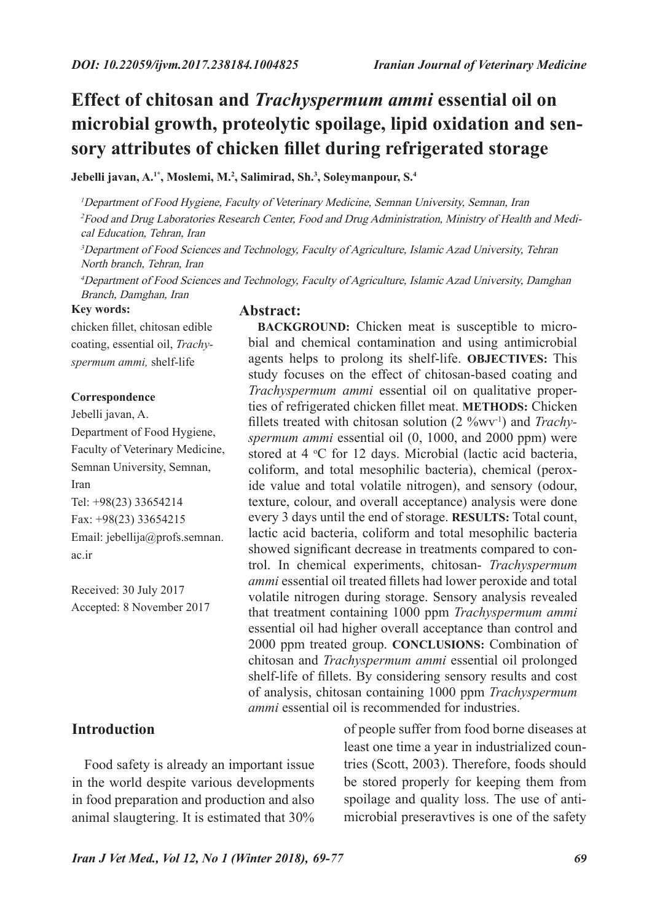# **Effect of chitosan and** *Trachyspermum ammi* **essential oil on microbial growth, proteolytic spoilage, lipid oxidation and sensory attributes of chicken fillet during refrigerated storage**

**Jebelli javan, A.1\*, Moslemi, M.2 , Salimirad, Sh.3 , Soleymanpour, S.4**

<sup>1</sup>Department of Food Hygiene, Faculty of Veterinary Medicine, Semnan University, Semnan, Iran 2Food and Drug Laboratories Research Center, Food and Drug Administration, Ministry of Health and Medical Education, Tehran, Iran

<sup>3</sup>Department of Food Sciences and Technology, Faculty of Agriculture, Islamic Azad University, Tehran North branch, Tehran, Iran

<sup>4</sup>Department of Food Sciences and Technology, Faculty of Agriculture, Islamic Azad University, Damghan Branch, Damghan, Iran

#### **Key words:**

chicken fillet, chitosan edible coating, essential oil, *Trachyspermum ammi,* shelf-life

#### **Correspondence**

Jebelli javan, A. Department of Food Hygiene, Faculty of Veterinary Medicine, Semnan University, Semnan, Iran Tel: +98(23) 33654214 Fax: +98(23) 33654215 Email: jebellija@profs.semnan. ac.ir

Received: 30 July 2017 Accepted: 8 November 2017

## **Introduction**

Food safety is already an important issue in the world despite various developments in food preparation and production and also animal slaugtering. It is estimated that 30%

#### **Abstract:**

**BACKGROUND:** Chicken meat is susceptible to microbial and chemical contamination and using antimicrobial agents helps to prolong its shelf-life. **OBJECTIVES:** This study focuses on the effect of chitosan-based coating and *Trachyspermum ammi* essential oil on qualitative properties of refrigerated chicken fillet meat. **METHODS:** Chicken fillets treated with chitosan solution (2 %wv-1) and *Trachyspermum ammi* essential oil (0, 1000, and 2000 ppm) were stored at 4 °C for 12 days. Microbial (lactic acid bacteria, coliform, and total mesophilic bacteria), chemical (peroxide value and total volatile nitrogen), and sensory (odour, texture, colour, and overall acceptance) analysis were done every 3 days until the end of storage. **RESULTS:** Total count, lactic acid bacteria, coliform and total mesophilic bacteria showed significant decrease in treatments compared to control. In chemical experiments, chitosan- *Trachyspermum ammi* essential oil treated fillets had lower peroxide and total volatile nitrogen during storage. Sensory analysis revealed that treatment containing 1000 ppm *Trachyspermum ammi* essential oil had higher overall acceptance than control and 2000 ppm treated group. **CONCLUSIONS:** Combination of chitosan and *Trachyspermum ammi* essential oil prolonged shelf-life of fillets. By considering sensory results and cost of analysis, chitosan containing 1000 ppm *Trachyspermum ammi* essential oil is recommended for industries.

> of people suffer from food borne diseases at least one time a year in industrialized countries (Scott, 2003). Therefore, foods should be stored properly for keeping them from spoilage and quality loss. The use of antimicrobial preseravtives is one of the safety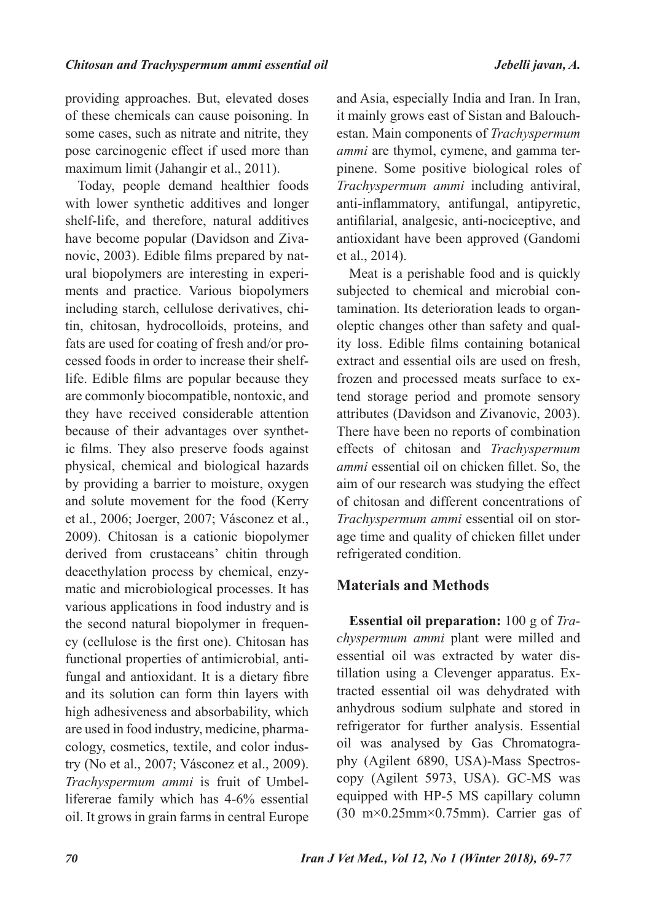providing approaches. But, elevated doses of these chemicals can cause poisoning. In some cases, such as nitrate and nitrite, they pose carcinogenic effect if used more than maximum limit (Jahangir et al., 2011).

Today, people demand healthier foods with lower synthetic additives and longer shelf-life, and therefore, natural additives have become popular (Davidson and Zivanovic, 2003). Edible films prepared by natural biopolymers are interesting in experiments and practice. Various biopolymers including starch, cellulose derivatives, chitin, chitosan, hydrocolloids, proteins, and fats are used for coating of fresh and/or processed foods in order to increase their shelflife. Edible films are popular because they are commonly biocompatible, nontoxic, and they have received considerable attention because of their advantages over synthetic films. They also preserve foods against physical, chemical and biological hazards by providing a barrier to moisture, oxygen and solute movement for the food (Kerry et al., 2006; Joerger, 2007; Vásconez et al., 2009). Chitosan is a cationic biopolymer derived from crustaceans' chitin through deacethylation process by chemical, enzymatic and microbiological processes. It has various applications in food industry and is the second natural biopolymer in frequency (cellulose is the first one). Chitosan has functional properties of antimicrobial, antifungal and antioxidant. It is a dietary fibre and its solution can form thin layers with high adhesiveness and absorbability, which are used in food industry, medicine, pharmacology, cosmetics, textile, and color industry (No et al., 2007; Vásconez et al., 2009). *Trachyspermum ammi* is fruit of Umbellifererae family which has 4-6% essential oil. It grows in grain farms in central Europe

and Asia, especially India and Iran. In Iran, it mainly grows east of Sistan and Balouchestan. Main components of *Trachyspermum ammi* are thymol, cymene, and gamma terpinene. Some positive biological roles of *Trachyspermum ammi* including antiviral, anti-inflammatory, antifungal, antipyretic, antifilarial, analgesic, anti-nociceptive, and antioxidant have been approved (Gandomi et al., 2014).

Meat is a perishable food and is quickly subjected to chemical and microbial contamination. Its deterioration leads to organoleptic changes other than safety and quality loss. Edible films containing botanical extract and essential oils are used on fresh, frozen and processed meats surface to extend storage period and promote sensory attributes (Davidson and Zivanovic, 2003). There have been no reports of combination effects of chitosan and *Trachyspermum ammi* essential oil on chicken fillet. So, the aim of our research was studying the effect of chitosan and different concentrations of *Trachyspermum ammi* essential oil on storage time and quality of chicken fillet under refrigerated condition.

# **Materials and Methods**

**Essential oil preparation:** 100 g of *Trachyspermum ammi* plant were milled and essential oil was extracted by water distillation using a Clevenger apparatus. Extracted essential oil was dehydrated with anhydrous sodium sulphate and stored in refrigerator for further analysis. Essential oil was analysed by Gas Chromatography (Agilent 6890, USA)-Mass Spectroscopy (Agilent 5973, USA). GC-MS was equipped with HP-5 MS capillary column  $(30 \text{ m} \times 0.25 \text{ mm} \times 0.75 \text{ mm})$ . Carrier gas of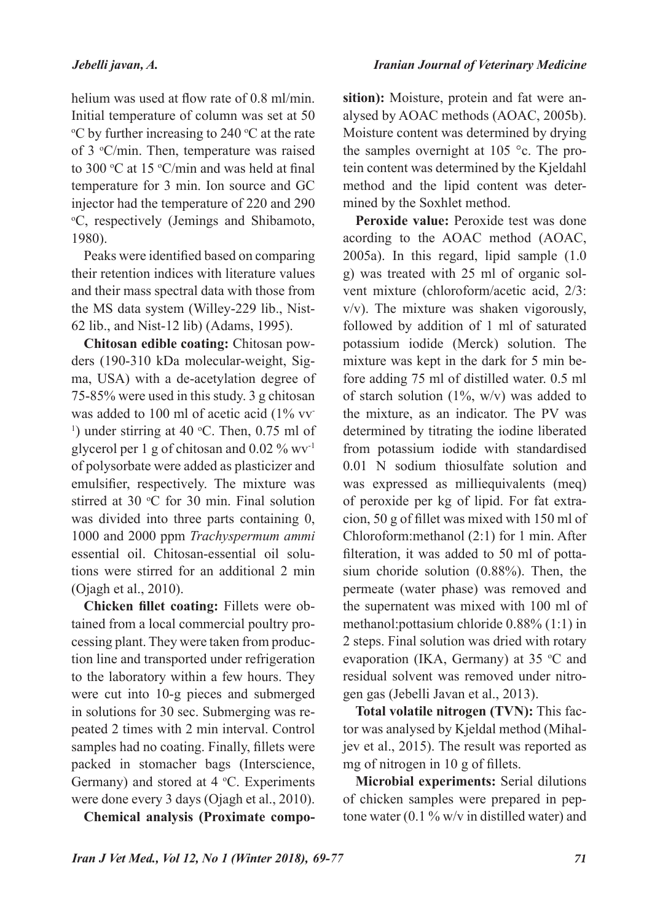helium was used at flow rate of 0.8 ml/min. Initial temperature of column was set at 50  $\rm{^{\circ}C}$  by further increasing to 240  $\rm{^{\circ}C}$  at the rate of 3 °C/min. Then, temperature was raised to 300 °C at 15 °C/min and was held at final temperature for 3 min. Ion source and GC injector had the temperature of 220 and 290 o C, respectively (Jemings and Shibamoto,

1980). Peaks were identified based on comparing their retention indices with literature values and their mass spectral data with those from the MS data system (Willey-229 lib., Nist-62 lib., and Nist-12 lib) (Adams, 1995).

**Chitosan edible coating:** Chitosan powders (190-310 kDa molecular-weight, Sigma, USA) with a de-acetylation degree of 75-85% were used in this study. 3 g chitosan was added to 100 ml of acetic acid (1% vv <sup>1</sup>) under stirring at 40 °C. Then, 0.75 ml of glycerol per 1 g of chitosan and 0.02 % wv-1 of polysorbate were added as plasticizer and emulsifier, respectively. The mixture was stirred at 30  $\degree$ C for 30 min. Final solution was divided into three parts containing 0, 1000 and 2000 ppm *Trachyspermum ammi* essential oil. Chitosan-essential oil solutions were stirred for an additional 2 min (Ojagh et al., 2010).

**Chicken fillet coating:** Fillets were obtained from a local commercial poultry processing plant. They were taken from production line and transported under refrigeration to the laboratory within a few hours. They were cut into 10-g pieces and submerged in solutions for 30 sec. Submerging was repeated 2 times with 2 min interval. Control samples had no coating. Finally, fillets were packed in stomacher bags (Interscience, Germany) and stored at  $4 \text{ }^{\circ}C$ . Experiments were done every 3 days (Ojagh et al., 2010).

**Chemical analysis (Proximate compo-**

*Iranian Journal of Veterinary Medicine*

**sition):** Moisture, protein and fat were analysed by AOAC methods (AOAC, 2005b). Moisture content was determined by drying the samples overnight at 105 °c. The protein content was determined by the Kjeldahl method and the lipid content was determined by the Soxhlet method.

**Peroxide value:** Peroxide test was done acording to the AOAC method (AOAC, 2005a). In this regard, lipid sample (1.0 g) was treated with 25 ml of organic solvent mixture (chloroform/acetic acid, 2/3: v/v). The mixture was shaken vigorously, followed by addition of 1 ml of saturated potassium iodide (Merck) solution. The mixture was kept in the dark for 5 min before adding 75 ml of distilled water. 0.5 ml of starch solution  $(1\%, w/v)$  was added to the mixture, as an indicator. The PV was determined by titrating the iodine liberated from potassium iodide with standardised 0.01 N sodium thiosulfate solution and was expressed as milliequivalents (meq) of peroxide per kg of lipid. For fat extracion, 50 g of fillet was mixed with 150 ml of Chloroform:methanol (2:1) for 1 min. After filteration, it was added to 50 ml of pottasium choride solution (0.88%). Then, the permeate (water phase) was removed and the supernatent was mixed with 100 ml of methanol:pottasium chloride 0.88% (1:1) in 2 steps. Final solution was dried with rotary evaporation (IKA, Germany) at 35  $\degree$ C and residual solvent was removed under nitrogen gas (Jebelli Javan et al., 2013).

**Total volatile nitrogen (TVN):** This factor was analysed by Kjeldal method (Mihaljev et al., 2015). The result was reported as mg of nitrogen in 10 g of fillets.

**Microbial experiments:** Serial dilutions of chicken samples were prepared in peptone water (0.1  $\%$  w/v in distilled water) and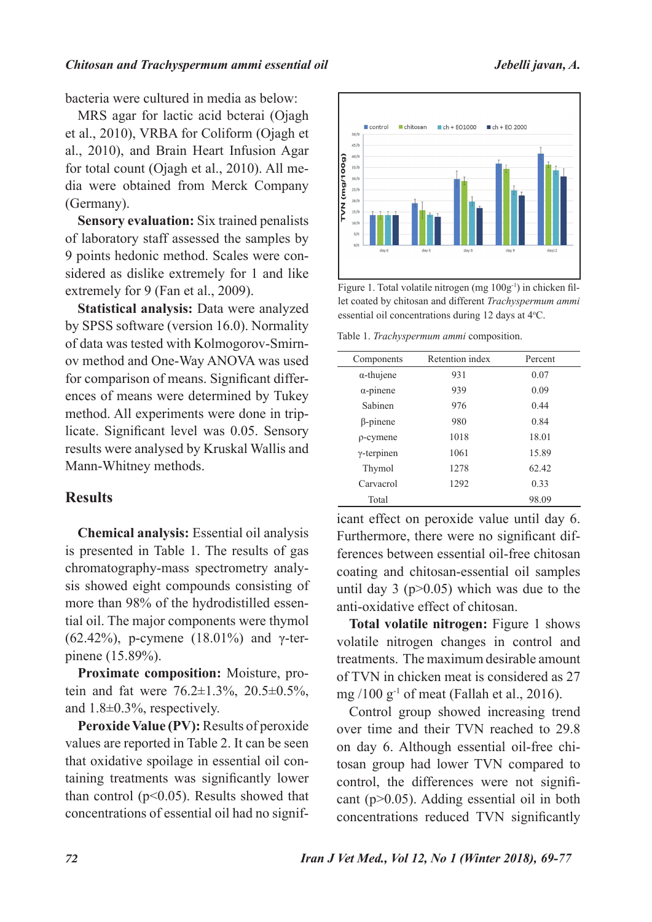bacteria were cultured in media as below:

MRS agar for lactic acid bcterai (Ojagh et al., 2010), VRBA for Coliform (Ojagh et al., 2010), and Brain Heart Infusion Agar for total count (Ojagh et al., 2010). All media were obtained from Merck Company (Germany).

**Sensory evaluation:** Six trained penalists of laboratory staff assessed the samples by 9 points hedonic method. Scales were considered as dislike extremely for 1 and like extremely for 9 (Fan et al., 2009).

**Statistical analysis:** Data were analyzed by SPSS software (version 16.0). Normality of data was tested with Kolmogorov-Smirnov method and One-Way ANOVA was used for comparison of means. Significant differences of means were determined by Tukey method. All experiments were done in triplicate. Significant level was 0.05. Sensory results were analysed by Kruskal Wallis and Mann-Whitney methods.

## **Results**

**Chemical analysis:** Essential oil analysis is presented in Table 1. The results of gas chromatography-mass spectrometry analysis showed eight compounds consisting of more than 98% of the hydrodistilled essential oil. The major components were thymol (62.42%), p-cymene (18.01%) and γ-terpinene (15.89%).

**Proximate composition:** Moisture, protein and fat were  $76.2 \pm 1.3\%$ ,  $20.5 \pm 0.5\%$ , and 1.8±0.3%, respectively.

**Peroxide Value (PV):** Results of peroxide values are reported in Table 2. It can be seen that oxidative spoilage in essential oil containing treatments was significantly lower than control ( $p<0.05$ ). Results showed that concentrations of essential oil had no signif-



Figure 1. Total volatile nitrogen (mg  $100g^{-1}$ ) in chicken fillet coated by chitosan and different *Trachyspermum ammi* essential oil concentrations during 12 days at 4°C.

Table 1. *Trachyspermum ammi* composition.

| Components         | Retention index | Percent |  |
|--------------------|-----------------|---------|--|
| $\alpha$ -thujene  | 931             | 0.07    |  |
| $\alpha$ -pinene   | 939             | 0.09    |  |
| Sabinen            | 976             | 0.44    |  |
| $\beta$ -pinene    | 980             | 0.84    |  |
| $\rho$ -cymene     | 1018            | 18.01   |  |
| $\gamma$ -terpinen | 1061            | 15.89   |  |
| Thymol             | 1278            | 62.42   |  |
| Carvacrol          | 1292            | 0.33    |  |
| Total              |                 | 98.09   |  |

icant effect on peroxide value until day 6. Furthermore, there were no significant differences between essential oil-free chitosan coating and chitosan-essential oil samples until day 3 ( $p > 0.05$ ) which was due to the anti-oxidative effect of chitosan.

**Total volatile nitrogen:** Figure 1 shows volatile nitrogen changes in control and treatments. The maximum desirable amount of TVN in chicken meat is considered as 27 mg  $/100$  g<sup>-1</sup> of meat (Fallah et al., 2016).

Control group showed increasing trend over time and their TVN reached to 29.8 on day 6. Although essential oil-free chitosan group had lower TVN compared to control, the differences were not significant (p>0.05). Adding essential oil in both concentrations reduced TVN significantly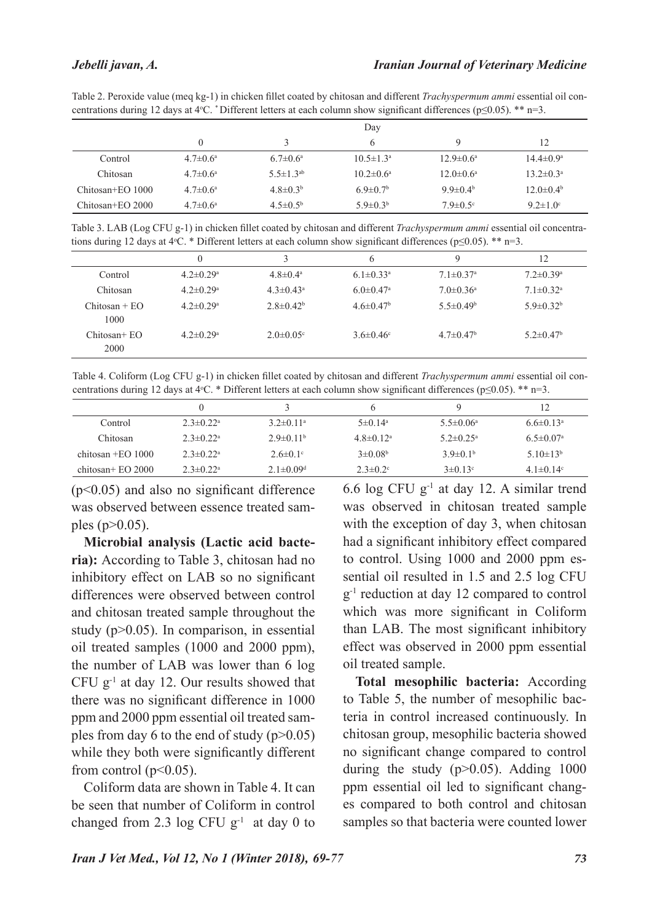#### *Jebelli javan, A.*

Table 2. Peroxide value (meq kg-1) in chicken fillet coated by chitosan and different *Trachyspermum ammi* essential oil concentrations during 12 days at 4°C. \*Different letters at each column show significant differences ( $p \le 0.05$ ). \*\* n=3.

|                  | Day                   |                       |                            |                             |                          |  |
|------------------|-----------------------|-----------------------|----------------------------|-----------------------------|--------------------------|--|
|                  |                       |                       | 6                          | Q                           | 12                       |  |
| Control          | $4.7 \pm 0.6^{\circ}$ | $6.7 \pm 0.6^{\circ}$ | $10.5 \pm 1.3^{\circ}$     | $12.9 \pm 0.6^{\mathrm{a}}$ | $14.4 \pm 0.9^{\circ}$   |  |
| Chitosan         | $4.7 \pm 0.6^{\circ}$ | $5.5 \pm 1.3^{ab}$    | $10.2 \pm 0.6^{\circ}$     | $12.0 \pm 0.6^{\circ}$      | $13.2 \pm 0.3^{\rm a}$   |  |
| Chitosan+EO 1000 | $4.7 \pm 0.6^{\circ}$ | $4.8 \pm 0.3^b$       | $6.9 \pm 0.7$ <sup>b</sup> | 9.9 $\pm$ 0.4 <sup>b</sup>  | $12.0\pm0.4b$            |  |
| Chitosan+EO 2000 | $4.7 \pm 0.6^{\circ}$ | $4.5 \pm 0.5^{\circ}$ | $5.9 \pm 0.3^b$            | $7.9 \pm 0.5$ <sup>c</sup>  | 9.2 $\pm$ 1.0 $^{\circ}$ |  |

Table 3. LAB (Log CFU g-1) in chicken fillet coated by chitosan and different *Trachyspermum ammi* essential oil concentrations during 12 days at 4 $\degree$ C. \* Different letters at each column show significant differences (p $\leq$ 0.05). \*\* n=3.

|                         |                             |                             | O                           | Q                           | 12                          |
|-------------------------|-----------------------------|-----------------------------|-----------------------------|-----------------------------|-----------------------------|
| Control                 | $4.2 \pm 0.29$ <sup>a</sup> | $4.8 \pm 0.4^{\circ}$       | $6.1 \pm 0.33$ <sup>a</sup> | $7.1 \pm 0.37$ <sup>a</sup> | $7.2 \pm 0.39$ <sup>a</sup> |
| Chitosan                | $4.2 \pm 0.29$ <sup>a</sup> | $4.3 \pm 0.43^a$            | $6.0 \pm 0.47$ <sup>a</sup> | $7.0 \pm 0.36$ <sup>a</sup> | $7.1 \pm 0.32$ <sup>a</sup> |
| $Chitosan + EO$<br>1000 | $4.2 \pm 0.29$ <sup>a</sup> | $2.8 \pm 0.42^b$            | $4.6 \pm 0.47$ <sup>b</sup> | $5.5 \pm 0.49^b$            | $5.9 \pm 0.32^b$            |
| $Chitosan + EO$<br>2000 | $4.2 \pm 0.29$ <sup>a</sup> | $2.0 \pm 0.05$ <sup>c</sup> | $3.6 \pm 0.46$ °            | $4.7 \pm 0.47$ <sup>b</sup> | $5.2 \pm 0.47$ <sup>b</sup> |
|                         |                             |                             |                             |                             |                             |

Table 4. Coliform (Log CFU g-1) in chicken fillet coated by chitosan and different *Trachyspermum ammi* essential oil concentrations during 12 days at 4 $\degree$ C. \* Different letters at each column show significant differences (p $\leq$ 0.05). \*\* n=3.

| Control              | $2.3 \pm 0.22^{\text{a}}$   | $3.2\pm 0.11^a$             | $5 \pm 0.14^a$      | $5.5 \pm 0.06^a$          | $6.6 \pm 0.13$ <sup>a</sup> |
|----------------------|-----------------------------|-----------------------------|---------------------|---------------------------|-----------------------------|
| Chitosan             | $2.3 \pm 0.22$ <sup>a</sup> | $2.9 \pm 0.11^{\circ}$      | $4.8 \pm 0.12^a$    | $5.2 \pm 0.25^{\text{a}}$ | $6.5 \pm 0.07$ <sup>a</sup> |
| chitosan $+EO$ 1000  | $2.3 \pm 0.22$ <sup>a</sup> | $2.6 \pm 0.1$ °             | $3\pm 0.08^{\rm b}$ | $3.9\pm0.1b$              | 5.10 $\pm$ 13 <sup>b</sup>  |
| chitosan + $EO$ 2000 | $2.3 \pm 0.22^{\text{a}}$   | 2.1 $\pm$ 0.09 <sup>d</sup> | $2.3 \pm 0.2$ °     | $3\pm 0.13^{\circ}$       | 4.1 $\pm$ 0.14 $\rm{c}$     |

(p<0.05) and also no significant difference was observed between essence treated samples ( $p > 0.05$ ).

**Microbial analysis (Lactic acid bacteria):** According to Table 3, chitosan had no inhibitory effect on LAB so no significant differences were observed between control and chitosan treated sample throughout the study (p>0.05). In comparison, in essential oil treated samples (1000 and 2000 ppm), the number of LAB was lower than 6 log CFU  $g^{-1}$  at day 12. Our results showed that there was no significant difference in 1000 ppm and 2000 ppm essential oil treated samples from day 6 to the end of study  $(p>0.05)$ while they both were significantly different from control ( $p<0.05$ ).

Coliform data are shown in Table 4. It can be seen that number of Coliform in control changed from 2.3 log CFU  $g^{-1}$  at day 0 to 6.6 log CFU  $g^{-1}$  at day 12. A similar trend was observed in chitosan treated sample with the exception of day 3, when chitosan had a significant inhibitory effect compared to control. Using 1000 and 2000 ppm essential oil resulted in 1.5 and 2.5 log CFU  $g^{-1}$  reduction at day 12 compared to control which was more significant in Coliform than LAB. The most significant inhibitory effect was observed in 2000 ppm essential oil treated sample.

**Total mesophilic bacteria:** According to Table 5, the number of mesophilic bacteria in control increased continuously. In chitosan group, mesophilic bacteria showed no significant change compared to control during the study  $(p>0.05)$ . Adding 1000 ppm essential oil led to significant changes compared to both control and chitosan samples so that bacteria were counted lower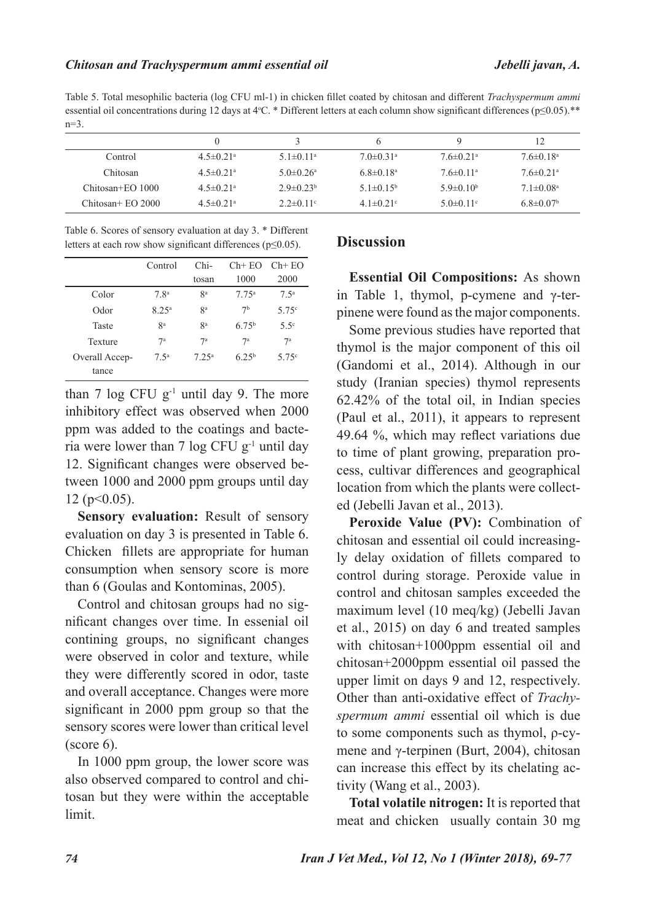Table 5. Total mesophilic bacteria (log CFU ml-1) in chicken fillet coated by chitosan and different *Trachyspermum ammi* essential oil concentrations during 12 days at 4 $\degree$ C. \* Different letters at each column show significant differences (p $\leq$ 0.05).\*\* n=3.

|                     | 0                           |                             |                             |                             |                             |
|---------------------|-----------------------------|-----------------------------|-----------------------------|-----------------------------|-----------------------------|
| Control             | $4.5 \pm 0.21$ <sup>a</sup> | $5.1 \pm 0.11$ <sup>a</sup> | $7.0 \pm 0.31$ <sup>a</sup> | $7.6 \pm 0.21$ <sup>a</sup> | $7.6 \pm 0.18$ <sup>a</sup> |
| Chitosan            | $4.5 \pm 0.21$ <sup>a</sup> | 5 0 $\pm$ 0 26 <sup>a</sup> | $6.8 \pm 0.18^a$            | $76\pm0.11^{\circ}$         | $76\pm0.21$ <sup>a</sup>    |
| Chitosan+EO 1000    | 4 5 ± 0 2 1 <sup>a</sup>    | $2.9 \pm 0.23$ <sup>b</sup> | $5.1\pm0.15^{\rm b}$        | 5.9 $\pm$ 0.10 <sup>b</sup> | $7.1 \pm 0.08$ <sup>a</sup> |
| $Chiosan + EO 2000$ | 4 5 ± 0 2 1 <sup>a</sup>    | $2.2 \pm 0.11$ °            | $4.1 \pm 0.21$ °            | 5 0 $\pm$ 0 11 <sup>c</sup> | $6.8 \pm 0.07$ <sup>b</sup> |
|                     |                             |                             |                             |                             |                             |

Table 6. Scores of sensory evaluation at day 3. \* Different letters at each row show significant differences (p≤0.05).

|                         | Control           | Chi-<br>tosan     | 1000           | $Ch+EO$ $Ch+EO$<br>2000 |
|-------------------------|-------------------|-------------------|----------------|-------------------------|
| Color                   | 7.8 <sup>a</sup>  | <b>ga</b>         | $7.75^{\circ}$ | 7.5 <sup>a</sup>        |
| Odor                    | 8.25 <sup>a</sup> | 8 <sup>a</sup>    | 7 <sup>b</sup> | 5.75c                   |
| Taste                   | <b>ga</b>         | <b>ga</b>         | $675^{\rm b}$  | $5.5^\circ$             |
| Texture                 | $7^{\rm a}$       | 7 <sup>a</sup>    | 7 <sup>a</sup> | $7^{\rm a}$             |
| Overall Accep-<br>tance | 7.5 <sup>a</sup>  | 7.25 <sup>a</sup> | $6.25^{b}$     | 5.75c                   |

than 7  $\log$  CFU g<sup>-1</sup> until day 9. The more inhibitory effect was observed when 2000 ppm was added to the coatings and bacteria were lower than 7 log CFU g-1 until day 12. Significant changes were observed between 1000 and 2000 ppm groups until day  $12$  (p  $< 0.05$ ).

**Sensory evaluation:** Result of sensory evaluation on day 3 is presented in Table 6. Chicken fillets are appropriate for human consumption when sensory score is more than 6 (Goulas and Kontominas, 2005).

Control and chitosan groups had no significant changes over time. In essenial oil contining groups, no significant changes were observed in color and texture, while they were differently scored in odor, taste and overall acceptance. Changes were more significant in 2000 ppm group so that the sensory scores were lower than critical level (score 6).

In 1000 ppm group, the lower score was also observed compared to control and chitosan but they were within the acceptable limit.

## **Discussion**

**Essential Oil Compositions:** As shown in Table 1, thymol, p-cymene and γ-terpinene were found as the major components.

Some previous studies have reported that thymol is the major component of this oil (Gandomi et al., 2014). Although in our study (Iranian species) thymol represents 62.42% of the total oil, in Indian species (Paul et al., 2011), it appears to represent 49.64 %, which may reflect variations due to time of plant growing, preparation process, cultivar differences and geographical location from which the plants were collected (Jebelli Javan et al., 2013).

**Peroxide Value (PV):** Combination of chitosan and essential oil could increasingly delay oxidation of fillets compared to control during storage. Peroxide value in control and chitosan samples exceeded the maximum level (10 meq/kg) (Jebelli Javan et al., 2015) on day 6 and treated samples with chitosan+1000ppm essential oil and chitosan+2000ppm essential oil passed the upper limit on days 9 and 12, respectively. Other than anti-oxidative effect of *Trachyspermum ammi* essential oil which is due to some components such as thymol, ρ-cymene and γ-terpinen (Burt, 2004), chitosan can increase this effect by its chelating activity (Wang et al., 2003).

**Total volatile nitrogen:** It is reported that meat and chicken usually contain 30 mg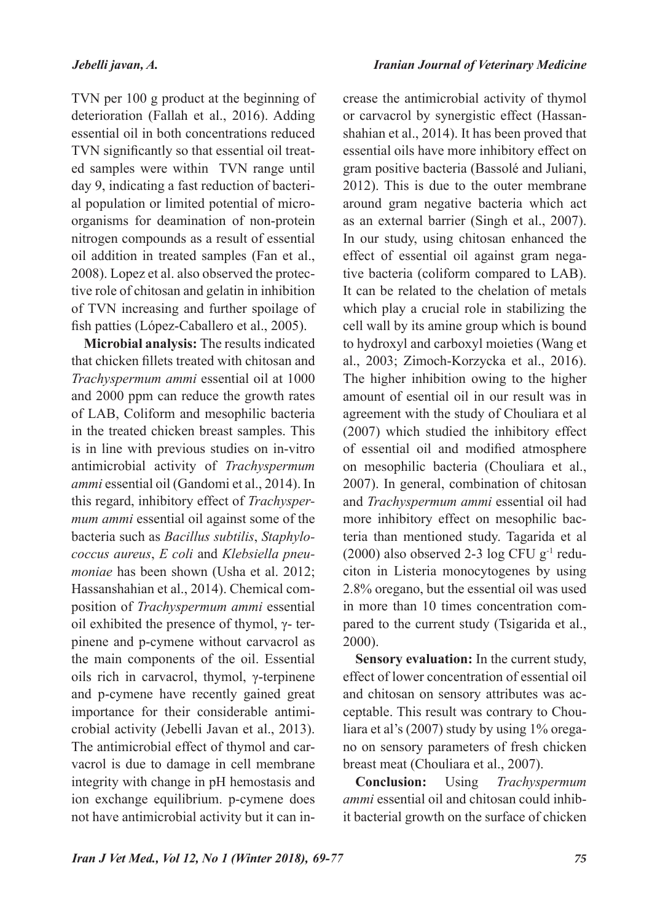TVN per 100 g product at the beginning of deterioration (Fallah et al., 2016). Adding essential oil in both concentrations reduced TVN significantly so that essential oil treated samples were within TVN range until day 9, indicating a fast reduction of bacterial population or limited potential of microorganisms for deamination of non-protein nitrogen compounds as a result of essential oil addition in treated samples (Fan et al., 2008). Lopez et al. also observed the protective role of chitosan and gelatin in inhibition of TVN increasing and further spoilage of fish patties (López-Caballero et al., 2005).

**Microbial analysis:** The results indicated that chicken fillets treated with chitosan and *Trachyspermum ammi* essential oil at 1000 and 2000 ppm can reduce the growth rates of LAB, Coliform and mesophilic bacteria in the treated chicken breast samples. This is in line with previous studies on in-vitro antimicrobial activity of *Trachyspermum ammi* essential oil (Gandomi et al., 2014). In this regard, inhibitory effect of *Trachyspermum ammi* essential oil against some of the bacteria such as *Bacillus subtilis*, *Staphylococcus aureus*, *E coli* and *Klebsiella pneumoniae* has been shown (Usha et al. 2012; Hassanshahian et al., 2014). Chemical composition of *Trachyspermum ammi* essential oil exhibited the presence of thymol,  $γ$ - terpinene and p-cymene without carvacrol as the main components of the oil. Essential oils rich in carvacrol, thymol, γ-terpinene and p-cymene have recently gained great importance for their considerable antimicrobial activity (Jebelli Javan et al., 2013). The antimicrobial effect of thymol and carvacrol is due to damage in cell membrane integrity with change in pH hemostasis and ion exchange equilibrium. p-cymene does not have antimicrobial activity but it can increase the antimicrobial activity of thymol or carvacrol by synergistic effect (Hassanshahian et al., 2014). It has been proved that essential oils have more inhibitory effect on gram positive bacteria (Bassolé and Juliani, 2012). This is due to the outer membrane around gram negative bacteria which act as an external barrier (Singh et al., 2007). In our study, using chitosan enhanced the effect of essential oil against gram negative bacteria (coliform compared to LAB). It can be related to the chelation of metals which play a crucial role in stabilizing the cell wall by its amine group which is bound to hydroxyl and carboxyl moieties (Wang et al., 2003; Zimoch-Korzycka et al., 2016). The higher inhibition owing to the higher amount of esential oil in our result was in agreement with the study of Chouliara et al (2007) which studied the inhibitory effect of essential oil and modified atmosphere on mesophilic bacteria (Chouliara et al., 2007). In general, combination of chitosan and *Trachyspermum ammi* essential oil had more inhibitory effect on mesophilic bacteria than mentioned study. Tagarida et al (2000) also observed 2-3  $\log$  CFU g<sup>-1</sup> reduciton in Listeria monocytogenes by using 2.8% oregano, but the essential oil was used in more than 10 times concentration compared to the current study (Tsigarida et al., 2000).

**Sensory evaluation:** In the current study, effect of lower concentration of essential oil and chitosan on sensory attributes was acceptable. This result was contrary to Chouliara et al's (2007) study by using 1% oregano on sensory parameters of fresh chicken breast meat (Chouliara et al., 2007).

**Conclusion:** Using *Trachyspermum ammi* essential oil and chitosan could inhibit bacterial growth on the surface of chicken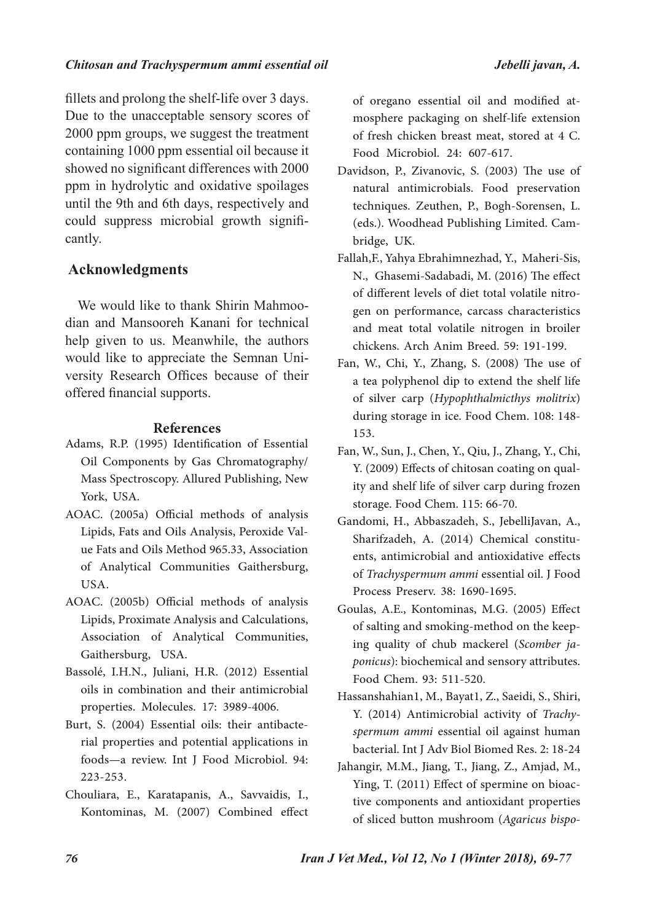### *Chitosan and Trachyspermum ammi essential oil Jebelli javan, A.*

fillets and prolong the shelf-life over 3 days. Due to the unacceptable sensory scores of 2000 ppm groups, we suggest the treatment containing 1000 ppm essential oil because it showed no significant differences with 2000 ppm in hydrolytic and oxidative spoilages until the 9th and 6th days, respectively and could suppress microbial growth significantly.

# **Acknowledgments**

We would like to thank Shirin Mahmoodian and Mansooreh Kanani for technical help given to us. Meanwhile, the authors would like to appreciate the Semnan University Research Offices because of their offered financial supports.

## **References**

- Adams, R.P. (1995) Identification of Essential Oil Components by Gas Chromatography/ Mass Spectroscopy. Allured Publishing, New York, USA.
- AOAC. (2005a) Official methods of analysis Lipids, Fats and Oils Analysis, Peroxide Value Fats and Oils Method 965.33, Association of Analytical Communities Gaithersburg, USA.
- AOAC. (2005b) Official methods of analysis Lipids, Proximate Analysis and Calculations, Association of Analytical Communities, Gaithersburg, USA.
- Bassolé, I.H.N., Juliani, H.R. (2012) Essential oils in combination and their antimicrobial properties. Molecules. 17: 3989-4006.
- Burt, S. (2004) Essential oils: their antibacterial properties and potential applications in foods—a review. Int J Food Microbiol. 94: 223-253.
- Chouliara, E., Karatapanis, A., Savvaidis, I., Kontominas, M. (2007) Combined effect

of oregano essential oil and modified atmosphere packaging on shelf-life extension of fresh chicken breast meat, stored at 4 C. Food Microbiol. 24: 607-617.

- Davidson, P., Zivanovic, S. (2003) The use of natural antimicrobials. Food preservation techniques. Zeuthen, P., Bogh-Sorensen, L. (eds.). Woodhead Publishing Limited. Cambridge, UK.
- Fallah,F., Yahya Ebrahimnezhad, Y., Maheri-Sis, N., Ghasemi-Sadabadi, M. (2016) The effect of different levels of diet total volatile nitrogen on performance, carcass characteristics and meat total volatile nitrogen in broiler chickens. Arch Anim Breed. 59: 191-199.
- Fan, W., Chi, Y., Zhang, S. (2008) The use of a tea polyphenol dip to extend the shelf life of silver carp (*Hypophthalmicthys molitrix*) during storage in ice. Food Chem. 108: 148- 153.
- Fan, W., Sun, J., Chen, Y., Qiu, J., Zhang, Y., Chi, Y. (2009) Effects of chitosan coating on quality and shelf life of silver carp during frozen storage. Food Chem. 115: 66-70.
- Gandomi, H., Abbaszadeh, S., JebelliJavan, A., Sharifzadeh, A. (2014) Chemical constituents, antimicrobial and antioxidative effects of *Trachyspermum ammi* essential oil. J Food Process Preserv. 38: 1690-1695.
- Goulas, A.E., Kontominas, M.G. (2005) Effect of salting and smoking-method on the keeping quality of chub mackerel (*Scomber japonicus*): biochemical and sensory attributes. Food Chem. 93: 511-520.
- Hassanshahian1, M., Bayat1, Z., Saeidi, S., Shiri, Y. (2014) Antimicrobial activity of *Trachyspermum ammi* essential oil against human bacterial. Int J Adv Biol Biomed Res. 2: 18-24
- Jahangir, M.M., Jiang, T., Jiang, Z., Amjad, M., Ying, T. (2011) Effect of spermine on bioactive components and antioxidant properties of sliced button mushroom (Agaricus bispo-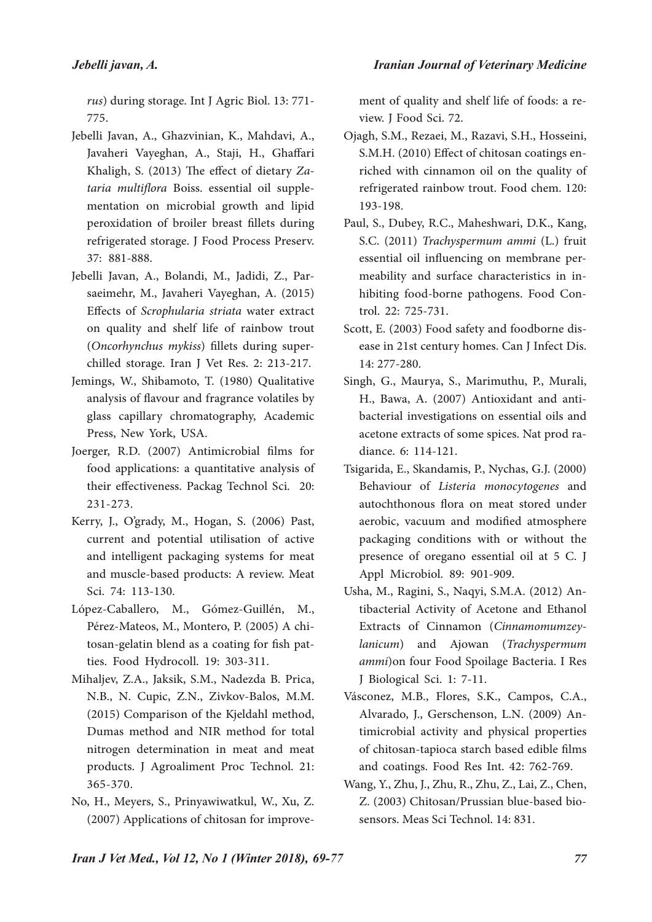*rus*) during storage. Int J Agric Biol. 13: 771- 775.

- Jebelli Javan, A., Ghazvinian, K., Mahdavi, A., Javaheri Vayeghan, A., Staji, H., Ghaffari Khaligh, S. (2013) The effect of dietary Za*taria multiflora* Boiss. essential oil supplementation on microbial growth and lipid peroxidation of broiler breast fillets during refrigerated storage. J Food Process Preserv. 37: 881-888.
- Jebelli Javan, A., Bolandi, M., Jadidi, Z., Parsaeimehr, M., Javaheri Vayeghan, A. (2015) Effects of *Scrophularia striata* water extract on quality and shelf life of rainbow trout (*Oncorhynchus mykiss*) fillets during superchilled storage. Iran J Vet Res. 2: 213-217.
- Jemings, W., Shibamoto, T. (1980) Qualitative analysis of flavour and fragrance volatiles by glass capillary chromatography, Academic Press, New York, USA.
- Joerger, R.D. (2007) Antimicrobial films for food applications: a quantitative analysis of their effectiveness. Packag Technol Sci. 20: 231-273.
- Kerry, J., O'grady, M., Hogan, S. (2006) Past, current and potential utilisation of active and intelligent packaging systems for meat and muscle-based products: A review. Meat Sci. 74: 113-130.
- López-Caballero, M., Gómez-Guillén, M., Pérez-Mateos, M., Montero, P. (2005) A chitosan-gelatin blend as a coating for fish patties. Food Hydrocoll. 19: 303-311.
- Mihaljev, Z.A., Jaksik, S.M., Nadezda B. Prica, N.B., N. Cupic, Z.N., Zivkov-Balos, M.M. (2015) Comparison of the Kjeldahl method, Dumas method and NIR method for total nitrogen determination in meat and meat products. J Agroaliment Proc Technol. 21: 365-370.
- No, H., Meyers, S., Prinyawiwatkul, W., Xu, Z. (2007) Applications of chitosan for improve-

ment of quality and shelf life of foods: a review. J Food Sci. 72.

- Ojagh, S.M., Rezaei, M., Razavi, S.H., Hosseini, S.M.H. (2010) Effect of chitosan coatings enriched with cinnamon oil on the quality of refrigerated rainbow trout. Food chem. 120: 193-198.
- Paul, S., Dubey, R.C., Maheshwari, D.K., Kang, S.C. (2011) *Trachyspermum ammi* (L.) fruit essential oil influencing on membrane permeability and surface characteristics in inhibiting food-borne pathogens. Food Control. 22: 725-731.
- Scott, E. (2003) Food safety and foodborne disease in 21st century homes. Can J Infect Dis. 14: 277-280.
- Singh, G., Maurya, S., Marimuthu, P., Murali, H., Bawa, A. (2007) Antioxidant and antibacterial investigations on essential oils and acetone extracts of some spices. Nat prod radiance. 6: 114-121.
- Tsigarida, E., Skandamis, P., Nychas, G.J. (2000) Behaviour of *Listeria monocytogenes* and autochthonous flora on meat stored under aerobic, vacuum and modified atmosphere packaging conditions with or without the presence of oregano essential oil at 5 C. J Appl Microbiol. 89: 901-909.
- Usha, M., Ragini, S., Naqyi, S.M.A. (2012) Antibacterial Activity of Acetone and Ethanol Extracts of Cinnamon (*Cinnamomumzeylanicum*) and Ajowan (*Trachyspermum ammi*)on four Food Spoilage Bacteria. I Res J Biological Sci. 1: 7-11.
- Vásconez, M.B., Flores, S.K., Campos, C.A., Alvarado, J., Gerschenson, L.N. (2009) Antimicrobial activity and physical properties of chitosan-tapioca starch based edible films and coatings. Food Res Int. 42: 762-769.
- Wang, Y., Zhu, J., Zhu, R., Zhu, Z., Lai, Z., Chen, Z. (2003) Chitosan/Prussian blue-based biosensors. Meas Sci Technol. 14: 831.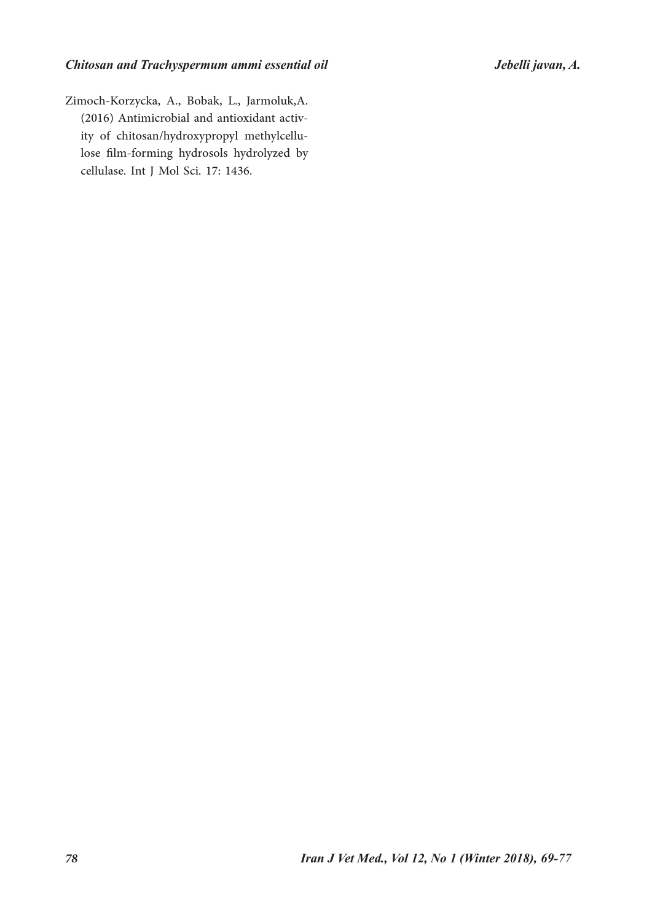Zimoch-Korzycka, A., Bobak, L., Jarmoluk,A. (2016) Antimicrobial and antioxidant activity of chitosan/hydroxypropyl methylcellulose film-forming hydrosols hydrolyzed by cellulase. Int J Mol Sci. 17: 1436.